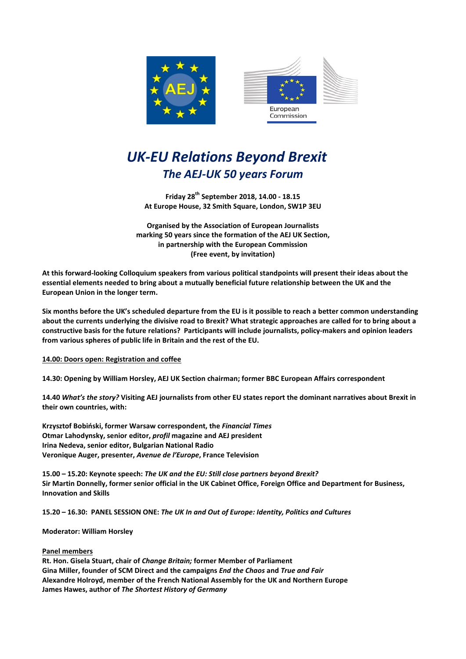



## UK-EU Relations Beyond Brexit The AEJ-UK 50 years Forum

Friday 28th September 2018, 14.00 - 18.15 At Europe House, 32 Smith Square, London, SW1P 3EU

Organised by the Association of European Journalists marking 50 years since the formation of the AEJ UK Section, in partnership with the European Commission (Free event, by invitation)

At this forward-looking Colloquium speakers from various political standpoints will present their ideas about the essential elements needed to bring about a mutually beneficial future relationship between the UK and the European Union in the longer term.

Six months before the UK's scheduled departure from the EU is it possible to reach a better common understanding about the currents underlying the divisive road to Brexit? What strategic approaches are called for to bring about a constructive basis for the future relations? Participants will include journalists, policy-makers and opinion leaders from various spheres of public life in Britain and the rest of the EU.

14.00: Doors open: Registration and coffee

14.30: Opening by William Horsley, AEJ UK Section chairman; former BBC European Affairs correspondent

14.40 What's the story? Visiting AEJ journalists from other EU states report the dominant narratives about Brexit in their own countries, with:

Krzysztof Bobiński, former Warsaw correspondent, the Financial Times Otmar Lahodynsky, senior editor, profil magazine and AEJ president Irina Nedeva, senior editor, Bulgarian National Radio Veronique Auger, presenter, Avenue de l'Europe, France Television

15.00 – 15.20: Keynote speech: The UK and the EU: Still close partners beyond Brexit? Sir Martin Donnelly, former senior official in the UK Cabinet Office, Foreign Office and Department for Business, Innovation and Skills

15.20 – 16.30: PANEL SESSION ONE: The UK In and Out of Europe: Identity, Politics and Cultures

Moderator: William Horsley

## Panel members

Rt. Hon. Gisela Stuart, chair of Change Britain; former Member of Parliament Gina Miller, founder of SCM Direct and the campaigns End the Chaos and True and Fair Alexandre Holroyd, member of the French National Assembly for the UK and Northern Europe James Hawes, author of The Shortest History of Germany